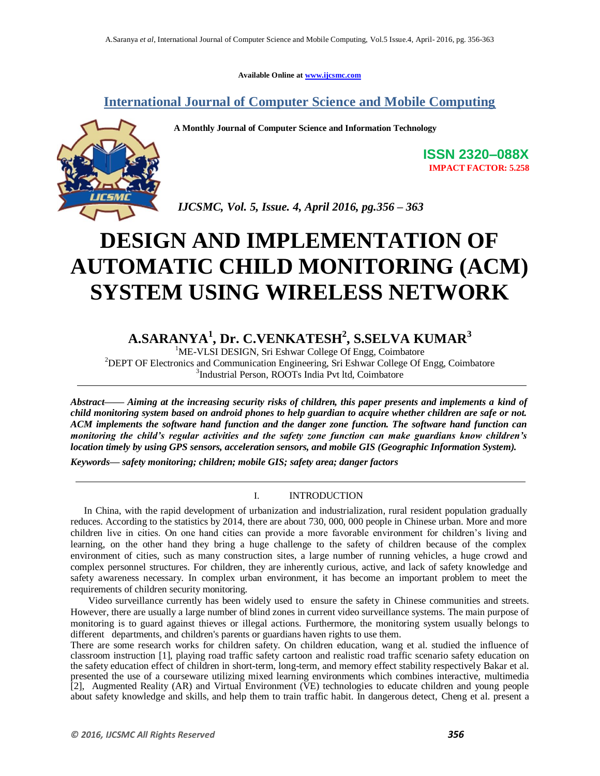**Available Online at www.ijcsmc.com**

**International Journal of Computer Science and Mobile Computing**

 **A Monthly Journal of Computer Science and Information Technology**



**ISSN 2320–088X IMPACT FACTOR: 5.258**

 *IJCSMC, Vol. 5, Issue. 4, April 2016, pg.356 – 363*

# **DESIGN AND IMPLEMENTATION OF AUTOMATIC CHILD MONITORING (ACM) SYSTEM USING WIRELESS NETWORK**

# **A.SARANYA<sup>1</sup> , Dr. C.VENKATESH<sup>2</sup> , S.SELVA KUMAR<sup>3</sup>**

<sup>1</sup>ME-VLSI DESIGN, Sri Eshwar College Of Engg, Coimbatore <sup>2</sup>DEPT OF Electronics and Communication Engineering, Sri Eshwar College Of Engg, Coimbatore 3 Industrial Person, ROOTs India Pvt ltd, Coimbatore

*Abstract—— Aiming at the increasing security risks of children, this paper presents and implements a kind of child monitoring system based on android phones to help guardian to acquire whether children are safe or not. ACM implements the software hand function and the danger zone function. The software hand function can monitoring the child's regular activities and the safety zone function can make guardians know children's location timely by using GPS sensors, acceleration sensors, and mobile GIS (Geographic Information System).*

*Keywords— safety monitoring; children; mobile GIS; safety area; danger factors*

# I. INTRODUCTION

In China, with the rapid development of urbanization and industrialization, rural resident population gradually reduces. According to the statistics by 2014, there are about 730, 000, 000 people in Chinese urban. More and more children live in cities. On one hand cities can provide a more favorable environment for children's living and learning, on the other hand they bring a huge challenge to the safety of children because of the complex environment of cities, such as many construction sites, a large number of running vehicles, a huge crowd and complex personnel structures. For children, they are inherently curious, active, and lack of safety knowledge and safety awareness necessary. In complex urban environment, it has become an important problem to meet the requirements of children security monitoring.

Video surveillance currently has been widely used to ensure the safety in Chinese communities and streets. However, there are usually a large number of blind zones in current video surveillance systems. The main purpose of monitoring is to guard against thieves or illegal actions. Furthermore, the monitoring system usually belongs to different departments, and children's parents or guardians haven rights to use them.

There are some research works for children safety. On children education, wang et al. studied the influence of classroom instruction [1], playing road traffic safety cartoon and realistic road traffic scenario safety education on the safety education effect of children in short-term, long-term, and memory effect stability respectively Bakar et al. presented the use of a courseware utilizing mixed learning environments which combines interactive, multimedia [2], Augmented Reality (AR) and Virtual Environment (VE) technologies to educate children and young people about safety knowledge and skills, and help them to train traffic habit. In dangerous detect, Cheng et al. present a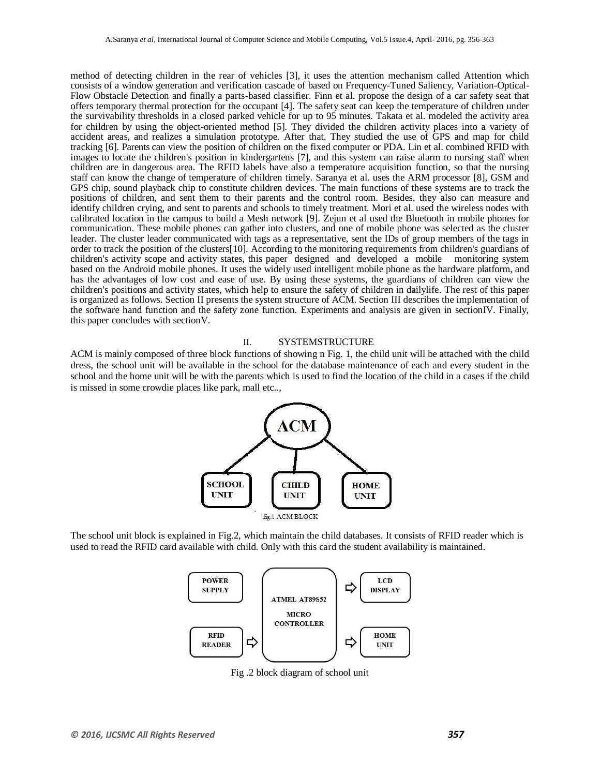method of detecting children in the rear of vehicles [3], it uses the attention mechanism called Attention which consists of a window generation and verification cascade of based on Frequency-Tuned Saliency, Variation-Optical-Flow Obstacle Detection and finally a parts-based classifier. Finn et al. propose the design of a car safety seat that offers temporary thermal protection for the occupant [4]. The safety seat can keep the temperature of children under the survivability thresholds in a closed parked vehicle for up to 95 minutes. Takata et al. modeled the activity area for children by using the object-oriented method [5]. They divided the children activity places into a variety of accident areas, and realizes a simulation prototype. After that, They studied the use of GPS and map for child tracking [6]. Parents can view the position of children on the fixed computer or PDA. Lin et al. combined RFID with images to locate the children's position in kindergartens [7], and this system can raise alarm to nursing staff when children are in dangerous area. The RFID labels have also a temperature acquisition function, so that the nursing staff can know the change of temperature of children timely. Saranya et al. uses the ARM processor [8], GSM and GPS chip, sound playback chip to constitute children devices. The main functions of these systems are to track the positions of children, and sent them to their parents and the control room. Besides, they also can measure and identify children crying, and sent to parents and schools to timely treatment. Mori et al. used the wireless nodes with calibrated location in the campus to build a Mesh network [9]. Zejun et al used the Bluetooth in mobile phones for communication. These mobile phones can gather into clusters, and one of mobile phone was selected as the cluster leader. The cluster leader communicated with tags as a representative, sent the IDs of group members of the tags in order to track the position of the clusters[10]. According to the monitoring requirements from children's guardians of children's activity scope and activity states, this paper designed and developed a mobile monitoring system based on the Android mobile phones. It uses the widely used intelligent mobile phone as the hardware platform, and has the advantages of low cost and ease of use. By using these systems, the guardians of children can view the children's positions and activity states, which help to ensure the safety of children in dailylife. The rest of this paper is organized as follows. Section II presents the system structure of ACM. Section III describes the implementation of the software hand function and the safety zone function. Experiments and analysis are given in sectionIV. Finally, this paper concludes with sectionV.

#### II. SYSTEMSTRUCTURE

ACM is mainly composed of three block functions of showing n Fig. 1, the child unit will be attached with the child dress, the school unit will be available in the school for the database maintenance of each and every student in the school and the home unit will be with the parents which is used to find the location of the child in a cases if the child is missed in some crowdie places like park, mall etc..,



The school unit block is explained in Fig.2, which maintain the child databases. It consists of RFID reader which is used to read the RFID card available with child. Only with this card the student availability is maintained.



Fig .2 block diagram of school unit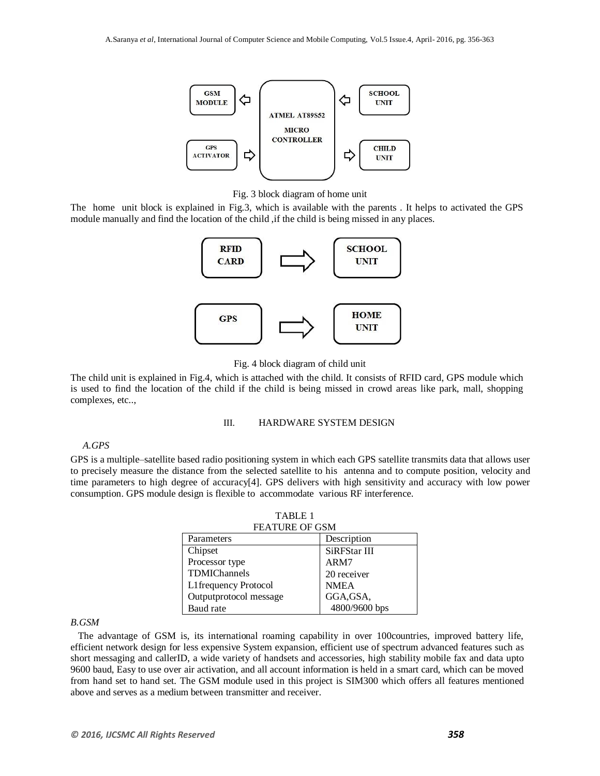

Fig. 3 block diagram of home unit

The home unit block is explained in Fig.3, which is available with the parents . It helps to activated the GPS module manually and find the location of the child ,if the child is being missed in any places.



#### Fig. 4 block diagram of child unit

The child unit is explained in Fig.4, which is attached with the child. It consists of RFID card, GPS module which is used to find the location of the child if the child is being missed in crowd areas like park, mall, shopping complexes, etc..,

#### III. HARDWARE SYSTEM DESIGN

#### *A.GPS*

GPS is a multiple–satellite based radio positioning system in which each GPS satellite transmits data that allows user to precisely measure the distance from the selected satellite to his antenna and to compute position, velocity and time parameters to high degree of accuracy[4]. GPS delivers with high sensitivity and accuracy with low power consumption. GPS module design is flexible to accommodate various RF interference.

TABLE 1

| <b>FEATURE OF GSM</b>  |               |  |  |
|------------------------|---------------|--|--|
| Parameters             | Description   |  |  |
| Chipset                | SiRFStar III  |  |  |
| Processor type         | ARM7          |  |  |
| TDMIChannels           | 20 receiver   |  |  |
| L1 frequency Protocol  | <b>NMEA</b>   |  |  |
| Outputprotocol message | GGA, GSA,     |  |  |
| Baud rate              | 4800/9600 bps |  |  |

#### *B.GSM*

The advantage of GSM is, its international roaming capability in over 100countries, improved battery life, efficient network design for less expensive System expansion, efficient use of spectrum advanced features such as short messaging and callerID, a wide variety of handsets and accessories, high stability mobile fax and data upto 9600 baud, Easy to use over air activation, and all account information is held in a smart card, which can be moved from hand set to hand set. The GSM module used in this project is SIM300 which offers all features mentioned above and serves as a medium between transmitter and receiver.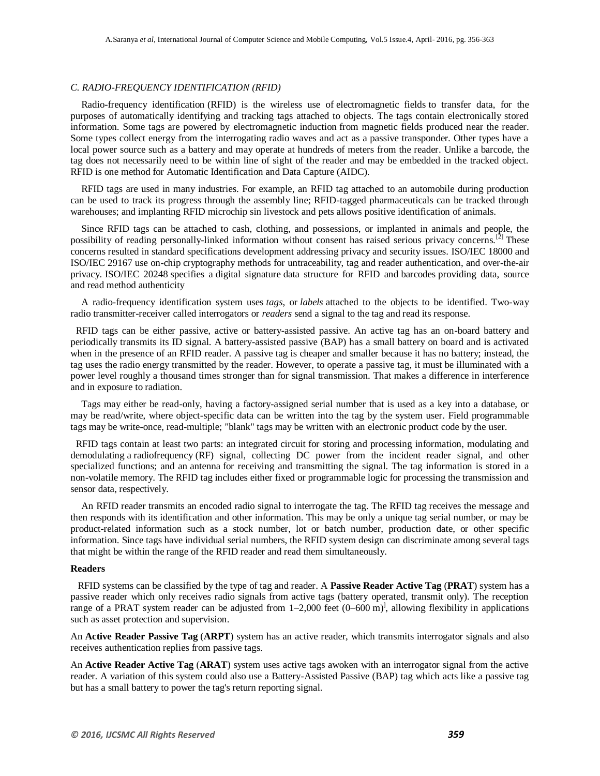#### *C. RADIO-FREQUENCY IDENTIFICATION (RFID)*

Radio-frequency identification (RFID) is the wireless use of [electromagnetic fields](https://en.wikipedia.org/wiki/Electromagnetic_field) to transfer data, for the purposes of automatically identifying and tracking tags attached to objects. The tags contain electronically stored information. Some tags are powered by [electromagnetic induction](https://en.wikipedia.org/wiki/Electromagnetic_induction) from magnetic fields produced near the reader. Some types collect energy from the interrogating radio waves and act as a passive transponder. Other types have a local power source such as a battery and may operate at hundreds of meters from the reader. Unlike a [barcode,](https://en.wikipedia.org/wiki/Barcode) the tag does not necessarily need to be within line of sight of the reader and may be embedded in the tracked object. RFID is one method for [Automatic Identification and Data Capture](https://en.wikipedia.org/wiki/Automatic_Identification_and_Data_Capture) (AIDC).

RFID tags are used in many industries. For example, an RFID tag attached to an automobile during production can be used to track its progress through the assembly line; RFID-tagged pharmaceuticals can be tracked through warehouses; and [implanting RFID microchip si](https://en.wikipedia.org/wiki/Microchip_implant_(animal))n livestock and pets allows positive identification of animals.

Since RFID tags can be attached to cash, clothing, and possessions, or implanted in animals and people, the possibility of reading personally-linked information without consent has raised serious privacy concerns.[\[2\]](https://en.wikipedia.org/wiki/Radio-frequency_identification#cite_note-Angell-2) These concerns resulted in standard specifications development addressing privacy and security issues. [ISO/IEC 18000](https://en.wikipedia.org/wiki/ISO/IEC_18000) and ISO/IEC 29167 use on-chip [cryptography](https://en.wikipedia.org/wiki/Cryptography) methods for untraceability, tag and reader [authentication,](https://en.wikipedia.org/wiki/Authentication) and over-the-air privacy. [ISO/IEC 20248](https://en.wikipedia.org/wiki/ISO/IEC_20248) specifies a [digital signature](https://en.wikipedia.org/wiki/Digital_signature) data structure for RFID and [barcodes](https://en.wikipedia.org/wiki/Barcodes) providing data, source and read method authenticity

A radio-frequency identification system uses *tags*, or *labels* attached to the objects to be identified. Two-way radio transmitter-receiver called interrogators or *readers* send a signal to the tag and read its response.

RFID tags can be either passive, active or battery-assisted passive. An active tag has an on-board battery and periodically transmits its ID signal. A battery-assisted passive (BAP) has a small battery on board and is activated when in the presence of an RFID reader. A passive tag is cheaper and smaller because it has no battery; instead, the tag uses the radio energy transmitted by the reader. However, to operate a passive tag, it must be illuminated with a power level roughly a thousand times stronger than for signal transmission. That makes a difference in interference and in exposure to radiation.

Tags may either be read-only, having a factory-assigned serial number that is used as a key into a database, or may be read/write, where object-specific data can be written into the tag by the system user. Field programmable tags may be write-once, read-multiple; "blank" tags may be written with an electronic product code by the user.

RFID tags contain at least two parts: an [integrated circuit](https://en.wikipedia.org/wiki/Integrated_circuit) for storing and processing information, modulating and [demodulating](https://en.wikipedia.org/wiki/Demodulation) a [radiofrequency](https://en.wikipedia.org/wiki/Radio-frequency) (RF) signal, collecting DC power from the incident reader signal, and other specialized functions; and an [antenna](https://en.wikipedia.org/wiki/Antenna_(radio)) for receiving and transmitting the signal. The tag information is stored in a non-volatile memory. The RFID tag includes either fixed or programmable logic for processing the transmission and sensor data, respectively.

An RFID reader transmits an encoded radio signal to interrogate the tag. The RFID tag receives the message and then responds with its identification and other information. This may be only a unique tag serial number, or may be product-related information such as a stock number, lot or batch number, production date, or other specific information. Since tags have individual serial numbers, the RFID system design can discriminate among several tags that might be within the range of the RFID reader and read them simultaneously.

#### **Readers**

 RFID systems can be classified by the type of tag and reader. A **Passive Reader Active Tag** (**PRAT**) system has a passive reader which only receives radio signals from active tags (battery operated, transmit only). The reception range of a PRAT system reader can be adjusted from  $1-2,000$  feet  $(0-600 \text{ m})^1$ , allowing flexibility in applications such as asset protection and supervision.

An **Active Reader Passive Tag** (**ARPT**) system has an active reader, which transmits interrogator signals and also receives authentication replies from passive tags.

An **Active Reader Active Tag** (**ARAT**) system uses active tags awoken with an interrogator signal from the active reader. A variation of this system could also use a Battery-Assisted Passive (BAP) tag which acts like a passive tag but has a small battery to power the tag's return reporting signal.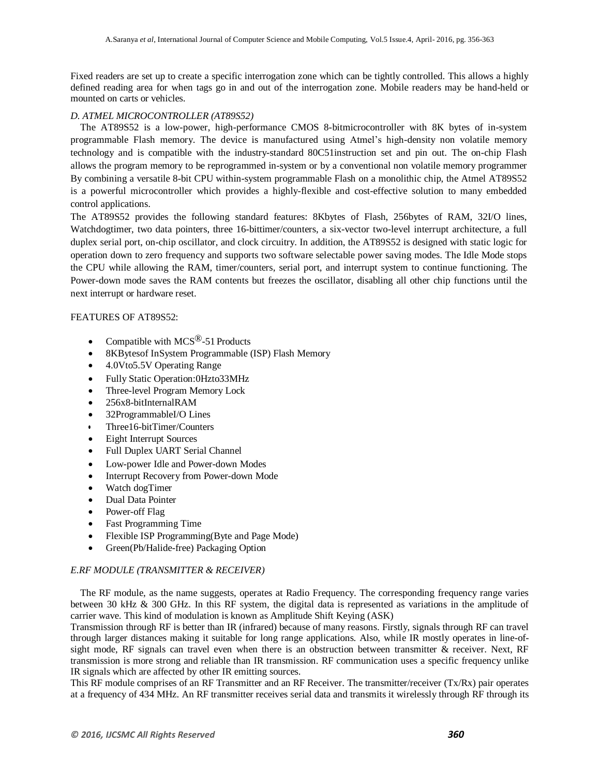Fixed readers are set up to create a specific interrogation zone which can be tightly controlled. This allows a highly defined reading area for when tags go in and out of the interrogation zone. Mobile readers may be hand-held or mounted on carts or vehicles.

#### *D. ATMEL MICROCONTROLLER (AT89S52)*

 The AT89S52 is a low-power, high-performance CMOS 8-bitmicrocontroller with 8K bytes of in-system programmable Flash memory. The device is manufactured using Atmel's high-density non volatile memory technology and is compatible with the industry-standard 80C51instruction set and pin out. The on-chip Flash allows the program memory to be reprogrammed in-system or by a conventional non volatile memory programmer By combining a versatile 8-bit CPU within-system programmable Flash on a monolithic chip, the Atmel AT89S52 is a powerful microcontroller which provides a highly-flexible and cost-effective solution to many embedded control applications.

The AT89S52 provides the following standard features: 8Kbytes of Flash, 256bytes of RAM, 32I/O lines, Watchdogtimer, two data pointers, three 16-bittimer/counters, a six-vector two-level interrupt architecture, a full duplex serial port, on-chip oscillator, and clock circuitry. In addition, the AT89S52 is designed with static logic for operation down to zero frequency and supports two software selectable power saving modes. The Idle Mode stops the CPU while allowing the RAM, timer/counters, serial port, and interrupt system to continue functioning. The Power-down mode saves the RAM contents but freezes the oscillator, disabling all other chip functions until the next interrupt or hardware reset.

#### FEATURES OF AT89S52:

- Compatible with  $MCS^{(8)}$ -51 Products
- 8KBytesof InSystem Programmable (ISP) Flash Memory
- 4.0Vto5.5V Operating Range
- Fully Static Operation:0Hzto33MHz
- Three-level Program Memory Lock
- 256x8-bitInternalRAM
- 32ProgrammableI/O Lines
- Three16-bitTimer/Counters
- Eight Interrupt Sources
- Full Duplex UART Serial Channel
- Low-power Idle and Power-down Modes
- Interrupt Recovery from Power-down Mode
- Watch dogTimer
- Dual Data Pointer
- Power-off Flag
- Fast Programming Time
- Flexible ISP Programming(Byte and Page Mode)
- Green(Pb/Halide-free) Packaging Option

#### *E.RF MODULE (TRANSMITTER & RECEIVER)*

 The RF module, as the name suggests, operates at Radio Frequency. The corresponding frequency range varies between 30 kHz & 300 GHz. In this RF system, the digital data is represented as variations in the amplitude of carrier wave. This kind of modulation is known as Amplitude Shift Keying (ASK)

Transmission through RF is better than IR (infrared) because of many reasons. Firstly, signals through RF can travel through larger distances making it suitable for long range applications. Also, while IR mostly operates in line-ofsight mode, RF signals can travel even when there is an obstruction between transmitter & receiver. Next, RF transmission is more strong and reliable than IR transmission. RF communication uses a specific frequency unlike IR signals which are affected by other IR emitting sources.

This RF module comprises of an RF Transmitter and an RF Receiver. The transmitter/receiver (Tx/Rx) pair operates at a frequency of 434 MHz. An RF transmitter receives serial data and transmits it wirelessly through RF through its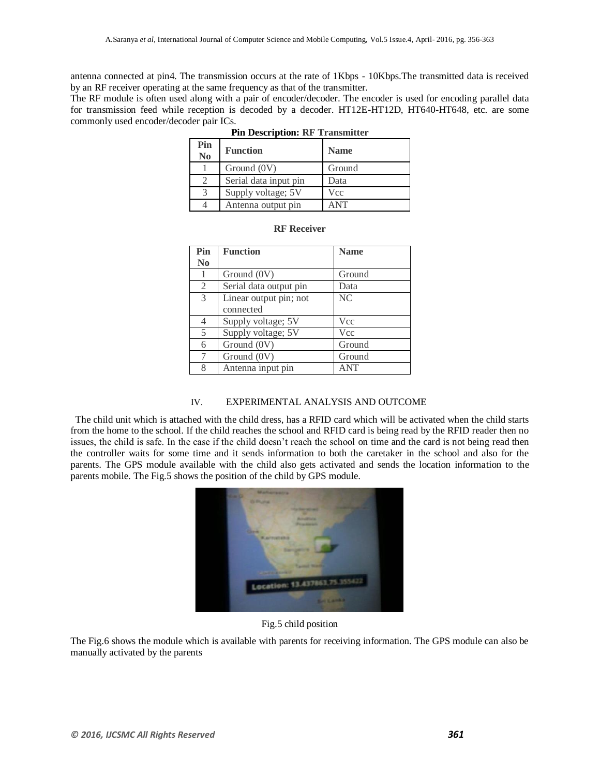antenna connected at pin4. The transmission occurs at the rate of 1Kbps - 10Kbps.The transmitted data is received by an RF receiver operating at the same frequency as that of the transmitter.

The RF module is often used along with a pair of encoder/decoder. The encoder is used for encoding parallel data for transmission feed while reception is decoded by a decoder. HT12E-HT12D, HT640-HT648, etc. are some commonly used encoder/decoder pair ICs.

| Pin<br>N <sub>0</sub> | <b>Function</b>       | <b>Name</b> |
|-----------------------|-----------------------|-------------|
|                       | Ground $(0V)$         | Ground      |
|                       | Serial data input pin | Data        |
| 3                     | Supply voltage; 5V    | Vcc         |
|                       | Antenna output pin    | $\Delta$ NT |

|  | <b>Pin Description: RF Transmitter</b> |  |
|--|----------------------------------------|--|
|--|----------------------------------------|--|

|  | <b>RF</b> Receiver |
|--|--------------------|
|--|--------------------|

| Pin            | <b>Function</b>        | <b>Name</b>     |
|----------------|------------------------|-----------------|
| N <sub>0</sub> |                        |                 |
|                | Ground (0V)            | Ground          |
| 2              | Serial data output pin | Data            |
| 3              | Linear output pin; not | NC <sub>1</sub> |
|                | connected              |                 |
| 4              | Supply voltage; 5V     | <b>Vcc</b>      |
| 5              | Supply voltage; 5V     | <b>Vcc</b>      |
| 6              | Ground (0V)            | Ground          |
| 7              | Ground (0V)            | Ground          |
| 8              | Antenna input pin      | <b>ANT</b>      |

# IV. EXPERIMENTAL ANALYSIS AND OUTCOME

 The child unit which is attached with the child dress, has a RFID card which will be activated when the child starts from the home to the school. If the child reaches the school and RFID card is being read by the RFID reader then no issues, the child is safe. In the case if the child doesn't reach the school on time and the card is not being read then the controller waits for some time and it sends information to both the caretaker in the school and also for the parents. The GPS module available with the child also gets activated and sends the location information to the parents mobile. The Fig.5 shows the position of the child by GPS module.



Fig.5 child position

The Fig.6 shows the module which is available with parents for receiving information. The GPS module can also be manually activated by the parents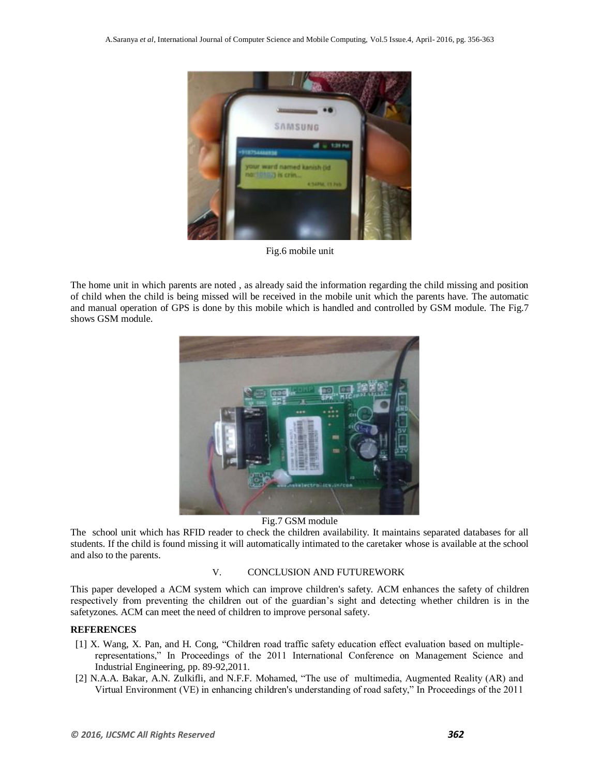

Fig.6 mobile unit

The home unit in which parents are noted , as already said the information regarding the child missing and position of child when the child is being missed will be received in the mobile unit which the parents have. The automatic and manual operation of GPS is done by this mobile which is handled and controlled by GSM module. The Fig.7 shows GSM module.



## Fig.7 GSM module

The school unit which has RFID reader to check the children availability. It maintains separated databases for all students. If the child is found missing it will automatically intimated to the caretaker whose is available at the school and also to the parents.

## V. CONCLUSION AND FUTUREWORK

This paper developed a ACM system which can improve children's safety. ACM enhances the safety of children respectively from preventing the children out of the guardian's sight and detecting whether children is in the safetyzones. ACM can meet the need of children to improve personal safety.

# **REFERENCES**

- [1] X. Wang, X. Pan, and H. Cong, "Children road traffic safety education effect evaluation based on multiplerepresentations,‖ In Proceedings of the 2011 International Conference on Management Science and Industrial Engineering, pp. 89-92,2011.
- [2] N.A.A. Bakar, A.N. Zulkifli, and N.F.F. Mohamed, "The use of multimedia, Augmented Reality (AR) and Virtual Environment (VE) in enhancing children's understanding of road safety," In Proceedings of the 2011